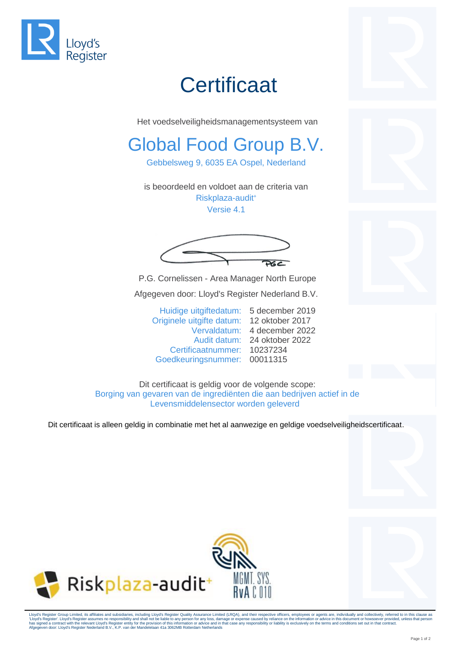

## **Certificaat**

Het voedselveiligheidsmanagementsysteem van

## Global Food Group B.V.

Gebbelsweg 9, 6035 EA Ospel, Nederland

is beoordeeld en voldoet aan de criteria van Riskplaza-audit<sup>+</sup> Versie 4.1

 $P6C$ 

P.G. Cornelissen - Area Manager North Europe Afgegeven door: Lloyd's Register Nederland B.V.

Huidige uitgiftedatum: 5 december 2019 Originele uitgifte datum: 12 oktober 2017 Vervaldatum: 4 december 2022 Audit datum: 24 oktober 2022 Certificaatnummer: 10237234 Goedkeuringsnummer: 00011315

Dit certificaat is geldig voor de volgende scope: Borging van gevaren van de ingrediënten die aan bedrijven actief in de Levensmiddelensector worden geleverd

Dit certificaat is alleen geldig in combinatie met het al aanwezige en geldige voedselveiligheidscertificaat.



Lloyd's Register Group Limited, its affiliates and subsidiaries, including Lloyd's Register Quality Assurance Limited (LRQA), and their respective officers, employees or agents are, individually and collectively, referred has signed a contract with the relevant Lloyd's Register entity for the provision of this information or advice and in that case any responsibility or liability is exclusively on the terms and conditions set out in that co